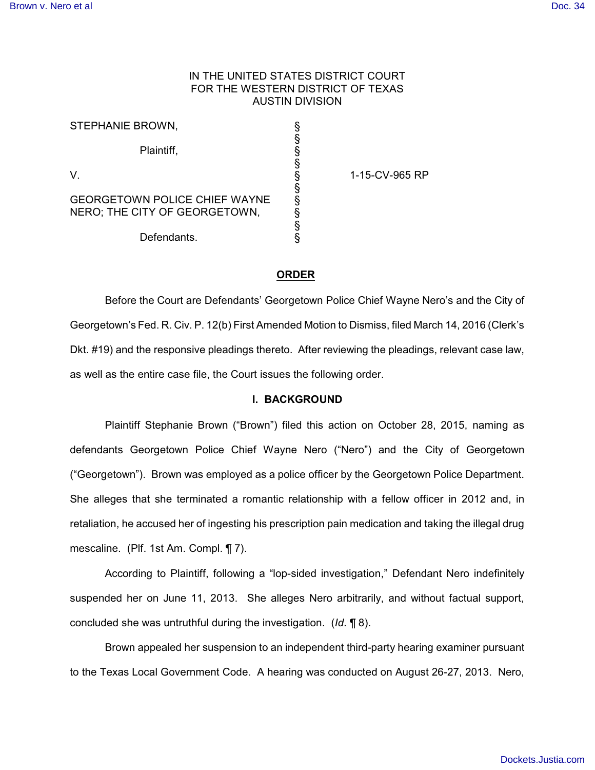# IN THE UNITED STATES DISTRICT COURT FOR THE WESTERN DISTRICT OF TEXAS AUSTIN DIVISION

| STEPHANIE BROWN,                                                      | §           |
|-----------------------------------------------------------------------|-------------|
| Plaintiff,                                                            | §<br>§<br>§ |
| V                                                                     | $\dot{\S}$  |
| <b>GEORGETOWN POLICE CHIEF WAYNE</b><br>NERO; THE CITY OF GEORGETOWN, | S<br>S<br>§ |
| Defendants.                                                           | §<br>§      |

1-15-CV-965 RP

# **ORDER**

Before the Court are Defendants' Georgetown Police Chief Wayne Nero's and the City of Georgetown's Fed. R. Civ. P. 12(b) First Amended Motion to Dismiss, filed March 14, 2016 (Clerk's Dkt. #19) and the responsive pleadings thereto. After reviewing the pleadings, relevant case law, as well as the entire case file, the Court issues the following order.

#### **I. BACKGROUND**

Plaintiff Stephanie Brown ("Brown") filed this action on October 28, 2015, naming as defendants Georgetown Police Chief Wayne Nero ("Nero") and the City of Georgetown ("Georgetown"). Brown was employed as a police officer by the Georgetown Police Department. She alleges that she terminated a romantic relationship with a fellow officer in 2012 and, in retaliation, he accused her of ingesting his prescription pain medication and taking the illegal drug mescaline. (Plf. 1st Am. Compl. ¶ 7).

According to Plaintiff, following a "lop-sided investigation," Defendant Nero indefinitely suspended her on June 11, 2013. She alleges Nero arbitrarily, and without factual support, concluded she was untruthful during the investigation. (*Id*. ¶ 8).

Brown appealed her suspension to an independent third-party hearing examiner pursuant to the Texas Local Government Code. A hearing was conducted on August 26-27, 2013. Nero,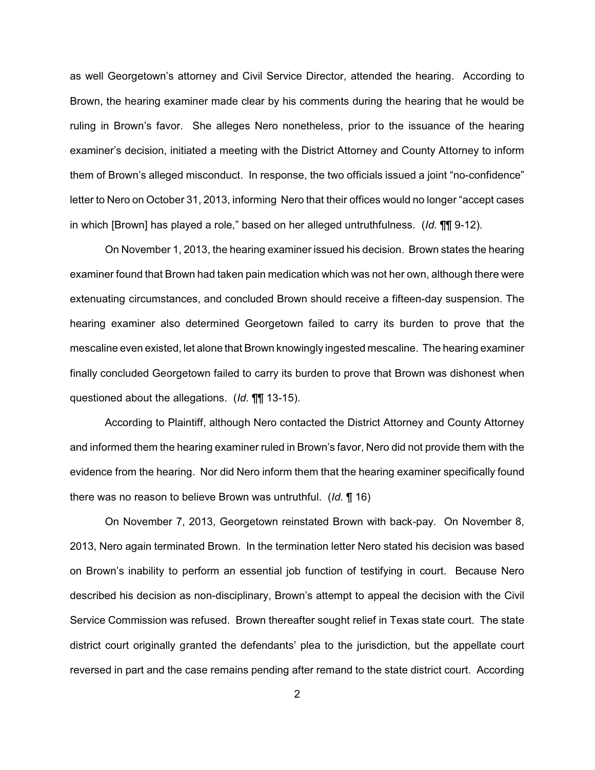as well Georgetown's attorney and Civil Service Director, attended the hearing. According to Brown, the hearing examiner made clear by his comments during the hearing that he would be ruling in Brown's favor. She alleges Nero nonetheless, prior to the issuance of the hearing examiner's decision, initiated a meeting with the District Attorney and County Attorney to inform them of Brown's alleged misconduct. In response, the two officials issued a joint "no-confidence" letter to Nero on October 31, 2013, informing Nero that their offices would no longer "accept cases in which [Brown] has played a role," based on her alleged untruthfulness. (*Id.* ¶¶ 9-12).

On November 1, 2013, the hearing examiner issued his decision. Brown states the hearing examiner found that Brown had taken pain medication which was not her own, although there were extenuating circumstances, and concluded Brown should receive a fifteen-day suspension. The hearing examiner also determined Georgetown failed to carry its burden to prove that the mescaline even existed, let alone that Brown knowingly ingested mescaline. The hearing examiner finally concluded Georgetown failed to carry its burden to prove that Brown was dishonest when questioned about the allegations. (*Id.* ¶¶ 13-15).

According to Plaintiff, although Nero contacted the District Attorney and County Attorney and informed them the hearing examiner ruled in Brown's favor, Nero did not provide them with the evidence from the hearing. Nor did Nero inform them that the hearing examiner specifically found there was no reason to believe Brown was untruthful. (*Id.* ¶ 16)

On November 7, 2013, Georgetown reinstated Brown with back-pay. On November 8, 2013, Nero again terminated Brown. In the termination letter Nero stated his decision was based on Brown's inability to perform an essential job function of testifying in court. Because Nero described his decision as non-disciplinary, Brown's attempt to appeal the decision with the Civil Service Commission was refused. Brown thereafter sought relief in Texas state court. The state district court originally granted the defendants' plea to the jurisdiction, but the appellate court reversed in part and the case remains pending after remand to the state district court. According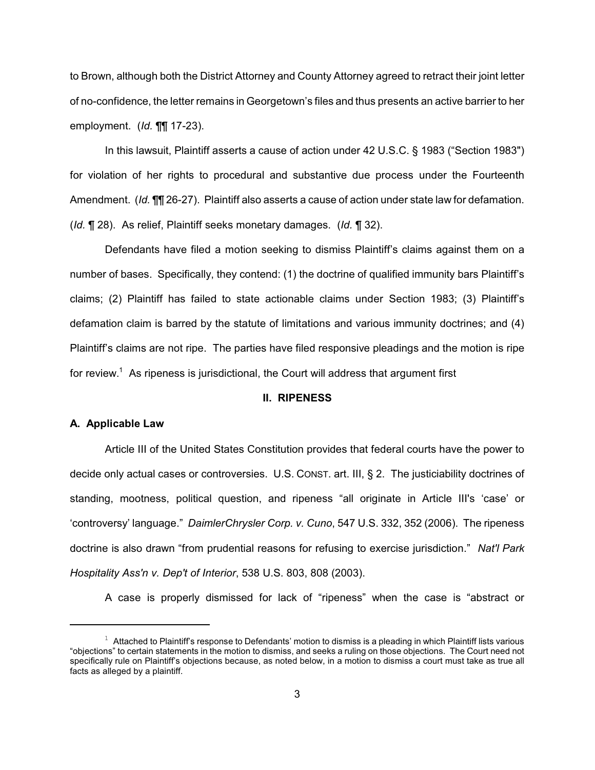to Brown, although both the District Attorney and County Attorney agreed to retract their joint letter of no-confidence, the letter remains in Georgetown's files and thus presents an active barrier to her employment. (*Id.* ¶¶ 17-23).

In this lawsuit, Plaintiff asserts a cause of action under 42 U.S.C. § 1983 ("Section 1983") for violation of her rights to procedural and substantive due process under the Fourteenth Amendment. (*Id.* ¶¶ 26-27). Plaintiff also asserts a cause of action under state law for defamation. (*Id.* ¶ 28). As relief, Plaintiff seeks monetary damages. (*Id.* ¶ 32).

Defendants have filed a motion seeking to dismiss Plaintiff's claims against them on a number of bases. Specifically, they contend: (1) the doctrine of qualified immunity bars Plaintiff's claims; (2) Plaintiff has failed to state actionable claims under Section 1983; (3) Plaintiff's defamation claim is barred by the statute of limitations and various immunity doctrines; and (4) Plaintiff's claims are not ripe. The parties have filed responsive pleadings and the motion is ripe for review.<sup>1</sup> As ripeness is jurisdictional, the Court will address that argument first

### **II. RIPENESS**

#### **A. Applicable Law**

Article III of the United States Constitution provides that federal courts have the power to decide only actual cases or controversies. U.S. CONST. art. III, § 2. The justiciability doctrines of standing, mootness, political question, and ripeness "all originate in Article III's 'case' or 'controversy' language." *DaimlerChrysler Corp. v. Cuno*, 547 U.S. 332, 352 (2006). The ripeness doctrine is also drawn "from prudential reasons for refusing to exercise jurisdiction." *Nat'l Park Hospitality Ass'n v. Dep't of Interior*, 538 U.S. 803, 808 (2003).

A case is properly dismissed for lack of "ripeness" when the case is "abstract or

 $1$  Attached to Plaintiff's response to Defendants' motion to dismiss is a pleading in which Plaintiff lists various "objections" to certain statements in the motion to dismiss, and seeks a ruling on those objections. The Court need not specifically rule on Plaintiff's objections because, as noted below, in a motion to dismiss a court must take as true all facts as alleged by a plaintiff.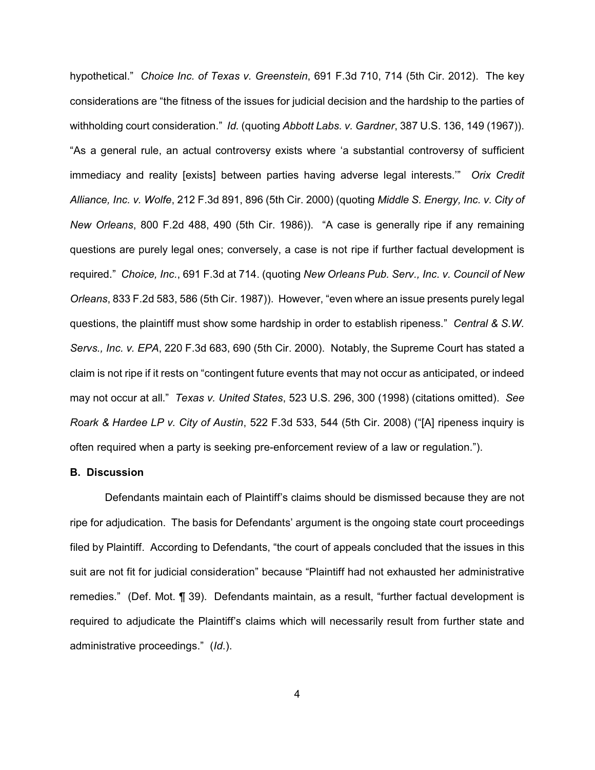hypothetical." *Choice Inc. of Texas v. Greenstein*, 691 F.3d 710, 714 (5th Cir. 2012). The key considerations are "the fitness of the issues for judicial decision and the hardship to the parties of withholding court consideration." *Id.* (quoting *Abbott Labs. v. Gardner*, 387 U.S. 136, 149 (1967)). "As a general rule, an actual controversy exists where 'a substantial controversy of sufficient immediacy and reality [exists] between parties having adverse legal interests.'" *Orix Credit Alliance, Inc. v. Wolfe*, 212 F.3d 891, 896 (5th Cir. 2000) (quoting *Middle S. Energy, Inc. v. City of New Orleans*, 800 F.2d 488, 490 (5th Cir. 1986)). "A case is generally ripe if any remaining questions are purely legal ones; conversely, a case is not ripe if further factual development is required." *Choice, Inc.*, 691 F.3d at 714. (quoting *New Orleans Pub. Serv., Inc. v. Council of New Orleans*, 833 F.2d 583, 586 (5th Cir. 1987)). However, "even where an issue presents purely legal questions, the plaintiff must show some hardship in order to establish ripeness." *Central & S.W. Servs., Inc. v. EPA*, 220 F.3d 683, 690 (5th Cir. 2000). Notably, the Supreme Court has stated a claim is not ripe if it rests on "contingent future events that may not occur as anticipated, or indeed may not occur at all." *Texas v. United States*, 523 U.S. 296, 300 (1998) (citations omitted). *See Roark & Hardee LP v. City of Austin*, 522 F.3d 533, 544 (5th Cir. 2008) ("[A] ripeness inquiry is often required when a party is seeking pre-enforcement review of a law or regulation.").

#### **B. Discussion**

Defendants maintain each of Plaintiff's claims should be dismissed because they are not ripe for adjudication. The basis for Defendants' argument is the ongoing state court proceedings filed by Plaintiff. According to Defendants, "the court of appeals concluded that the issues in this suit are not fit for judicial consideration" because "Plaintiff had not exhausted her administrative remedies." (Def. Mot. ¶ 39). Defendants maintain, as a result, "further factual development is required to adjudicate the Plaintiff's claims which will necessarily result from further state and administrative proceedings." (*Id*.).

4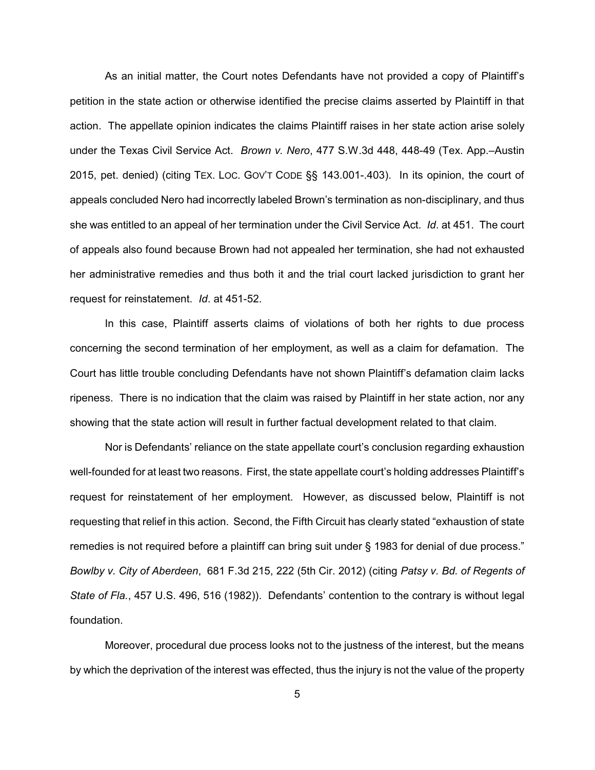As an initial matter, the Court notes Defendants have not provided a copy of Plaintiff's petition in the state action or otherwise identified the precise claims asserted by Plaintiff in that action. The appellate opinion indicates the claims Plaintiff raises in her state action arise solely under the Texas Civil Service Act. *Brown v. Nero*, 477 S.W.3d 448, 448-49 (Tex. App.–Austin 2015, pet. denied) (citing TEX. LOC. GOV'T CODE §§ 143.001-.403). In its opinion, the court of appeals concluded Nero had incorrectly labeled Brown's termination as non-disciplinary, and thus she was entitled to an appeal of her termination under the Civil Service Act. *Id*. at 451. The court of appeals also found because Brown had not appealed her termination, she had not exhausted her administrative remedies and thus both it and the trial court lacked jurisdiction to grant her request for reinstatement. *Id*. at 451-52.

In this case, Plaintiff asserts claims of violations of both her rights to due process concerning the second termination of her employment, as well as a claim for defamation. The Court has little trouble concluding Defendants have not shown Plaintiff's defamation claim lacks ripeness. There is no indication that the claim was raised by Plaintiff in her state action, nor any showing that the state action will result in further factual development related to that claim.

Nor is Defendants' reliance on the state appellate court's conclusion regarding exhaustion well-founded for at least two reasons. First, the state appellate court's holding addresses Plaintiff's request for reinstatement of her employment. However, as discussed below, Plaintiff is not requesting that relief in this action. Second, the Fifth Circuit has clearly stated "exhaustion of state remedies is not required before a plaintiff can bring suit under § 1983 for denial of due process." *Bowlby v. City of Aberdeen*, 681 F.3d 215, 222 (5th Cir. 2012) (citing *Patsy v. Bd. of Regents of State of Fla.*, 457 U.S. 496, 516 (1982)). Defendants' contention to the contrary is without legal foundation.

Moreover, procedural due process looks not to the justness of the interest, but the means by which the deprivation of the interest was effected, thus the injury is not the value of the property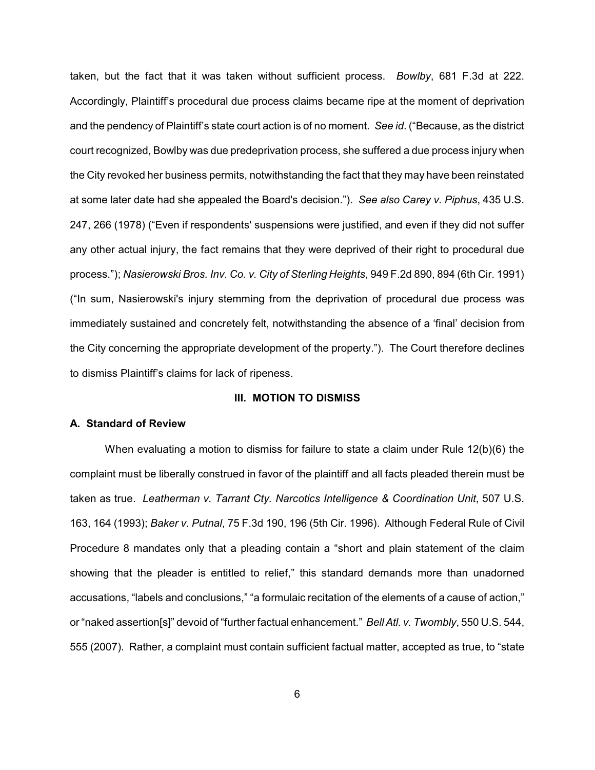taken, but the fact that it was taken without sufficient process. *Bowlby*, 681 F.3d at 222. Accordingly, Plaintiff's procedural due process claims became ripe at the moment of deprivation and the pendency of Plaintiff's state court action is of no moment. *See id*. ("Because, as the district court recognized, Bowlby was due predeprivation process, she suffered a due process injury when the City revoked her business permits, notwithstanding the fact that they may have been reinstated at some later date had she appealed the Board's decision."). *See also Carey v. Piphus*, 435 U.S. 247, 266 (1978) ("Even if respondents' suspensions were justified, and even if they did not suffer any other actual injury, the fact remains that they were deprived of their right to procedural due process."); *Nasierowski Bros. Inv. Co. v. City of Sterling Heights*, 949 F.2d 890, 894 (6th Cir. 1991) ("In sum, Nasierowski's injury stemming from the deprivation of procedural due process was immediately sustained and concretely felt, notwithstanding the absence of a 'final' decision from the City concerning the appropriate development of the property."). The Court therefore declines to dismiss Plaintiff's claims for lack of ripeness.

### **III. MOTION TO DISMISS**

### **A. Standard of Review**

When evaluating a motion to dismiss for failure to state a claim under Rule 12(b)(6) the complaint must be liberally construed in favor of the plaintiff and all facts pleaded therein must be taken as true. *Leatherman v. Tarrant Cty. Narcotics Intelligence & Coordination Unit*, 507 U.S. 163, 164 (1993); *Baker v. Putnal*, 75 F.3d 190, 196 (5th Cir. 1996). Although Federal Rule of Civil Procedure 8 mandates only that a pleading contain a "short and plain statement of the claim showing that the pleader is entitled to relief," this standard demands more than unadorned accusations, "labels and conclusions," "a formulaic recitation of the elements of a cause of action," or "naked assertion[s]" devoid of "further factual enhancement." *Bell Atl. v. Twombly*, 550 U.S. 544, 555 (2007). Rather, a complaint must contain sufficient factual matter, accepted as true, to "state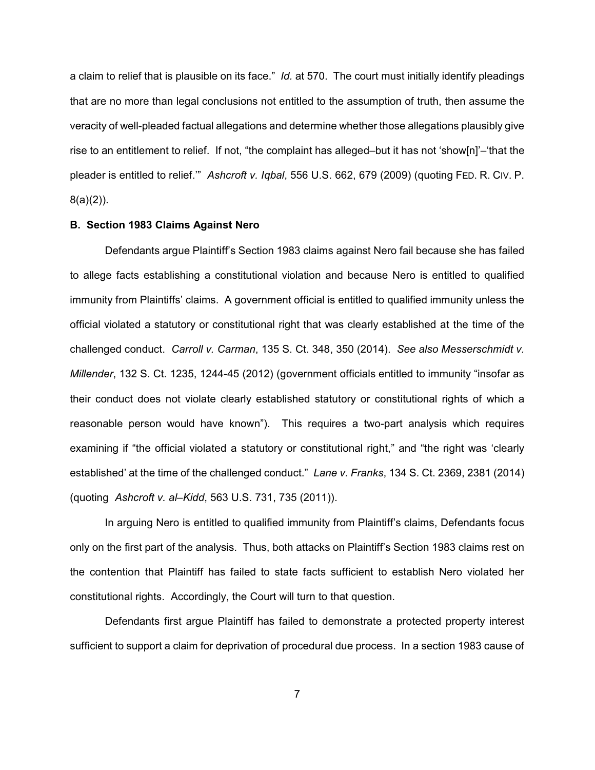a claim to relief that is plausible on its face." *Id.* at 570. The court must initially identify pleadings that are no more than legal conclusions not entitled to the assumption of truth, then assume the veracity of well-pleaded factual allegations and determine whether those allegations plausibly give rise to an entitlement to relief. If not, "the complaint has alleged–but it has not 'show[n]'–'that the pleader is entitled to relief.'" *Ashcroft v. Iqbal*, 556 U.S. 662, 679 (2009) (quoting FED. R. CIV. P. 8(a)(2)).

## **B. Section 1983 Claims Against Nero**

Defendants argue Plaintiff's Section 1983 claims against Nero fail because she has failed to allege facts establishing a constitutional violation and because Nero is entitled to qualified immunity from Plaintiffs' claims. A government official is entitled to qualified immunity unless the official violated a statutory or constitutional right that was clearly established at the time of the challenged conduct. *Carroll v. Carman*, 135 S. Ct. 348, 350 (2014). *See also Messerschmidt v. Millender*, 132 S. Ct. 1235, 1244-45 (2012) (government officials entitled to immunity "insofar as their conduct does not violate clearly established statutory or constitutional rights of which a reasonable person would have known"). This requires a two-part analysis which requires examining if "the official violated a statutory or constitutional right," and "the right was 'clearly established' at the time of the challenged conduct." *Lane v. Franks*, 134 S. Ct. 2369, 2381 (2014) (quoting *Ashcroft v. al–Kidd*, 563 U.S. 731, 735 (2011)).

In arguing Nero is entitled to qualified immunity from Plaintiff's claims, Defendants focus only on the first part of the analysis. Thus, both attacks on Plaintiff's Section 1983 claims rest on the contention that Plaintiff has failed to state facts sufficient to establish Nero violated her constitutional rights. Accordingly, the Court will turn to that question.

Defendants first argue Plaintiff has failed to demonstrate a protected property interest sufficient to support a claim for deprivation of procedural due process. In a section 1983 cause of

7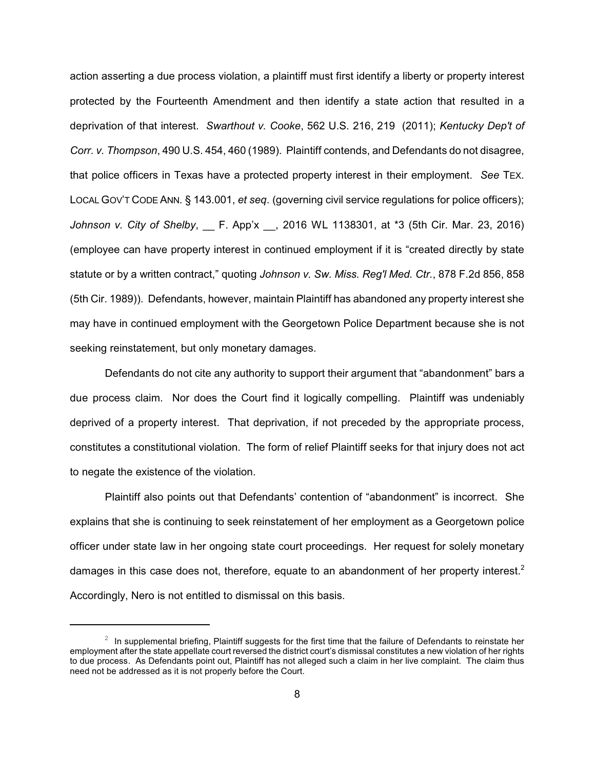action asserting a due process violation, a plaintiff must first identify a liberty or property interest protected by the Fourteenth Amendment and then identify a state action that resulted in a deprivation of that interest. *Swarthout v. Cooke*, 562 U.S. 216, 219 (2011); *Kentucky Dep't of Corr. v. Thompson*, 490 U.S. 454, 460 (1989). Plaintiff contends, and Defendants do not disagree, that police officers in Texas have a protected property interest in their employment. *See* TEX. LOCAL GOV'T CODE ANN. § 143.001, *et seq*. (governing civil service regulations for police officers); *Johnson v. City of Shelby*, F. App'x , 2016 WL 1138301, at \*3 (5th Cir. Mar. 23, 2016) (employee can have property interest in continued employment if it is "created directly by state statute or by a written contract," quoting *Johnson v. Sw. Miss. Reg'l Med. Ctr.*, 878 F.2d 856, 858 (5th Cir. 1989)). Defendants, however, maintain Plaintiff has abandoned any property interest she may have in continued employment with the Georgetown Police Department because she is not seeking reinstatement, but only monetary damages.

Defendants do not cite any authority to support their argument that "abandonment" bars a due process claim. Nor does the Court find it logically compelling. Plaintiff was undeniably deprived of a property interest. That deprivation, if not preceded by the appropriate process, constitutes a constitutional violation. The form of relief Plaintiff seeks for that injury does not act to negate the existence of the violation.

Plaintiff also points out that Defendants' contention of "abandonment" is incorrect. She explains that she is continuing to seek reinstatement of her employment as a Georgetown police officer under state law in her ongoing state court proceedings. Her request for solely monetary damages in this case does not, therefore, equate to an abandonment of her property interest.<sup>2</sup> Accordingly, Nero is not entitled to dismissal on this basis.

 $1$  In supplemental briefing, Plaintiff suggests for the first time that the failure of Defendants to reinstate her employment after the state appellate court reversed the district court's dismissal constitutes a new violation of her rights to due process. As Defendants point out, Plaintiff has not alleged such a claim in her live complaint. The claim thus need not be addressed as it is not properly before the Court.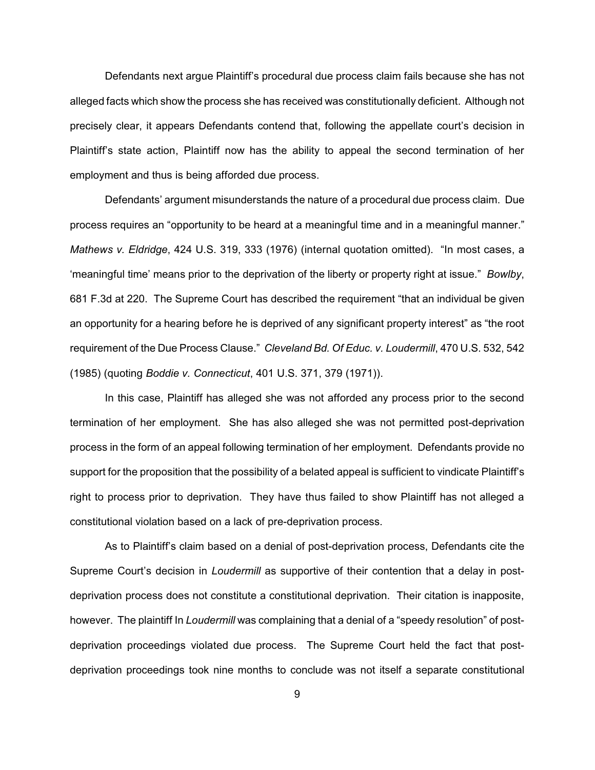Defendants next argue Plaintiff's procedural due process claim fails because she has not alleged facts which show the process she has received was constitutionally deficient. Although not precisely clear, it appears Defendants contend that, following the appellate court's decision in Plaintiff's state action, Plaintiff now has the ability to appeal the second termination of her employment and thus is being afforded due process.

Defendants' argument misunderstands the nature of a procedural due process claim. Due process requires an "opportunity to be heard at a meaningful time and in a meaningful manner." *Mathews v. Eldridge*, 424 U.S. 319, 333 (1976) (internal quotation omitted). "In most cases, a 'meaningful time' means prior to the deprivation of the liberty or property right at issue." *Bowlby*, 681 F.3d at 220. The Supreme Court has described the requirement "that an individual be given an opportunity for a hearing before he is deprived of any significant property interest" as "the root requirement of the Due Process Clause." *Cleveland Bd. Of Educ. v. Loudermill*, 470 U.S. 532, 542 (1985) (quoting *Boddie v. Connecticut*, 401 U.S. 371, 379 (1971)).

In this case, Plaintiff has alleged she was not afforded any process prior to the second termination of her employment. She has also alleged she was not permitted post-deprivation process in the form of an appeal following termination of her employment. Defendants provide no support for the proposition that the possibility of a belated appeal is sufficient to vindicate Plaintiff's right to process prior to deprivation. They have thus failed to show Plaintiff has not alleged a constitutional violation based on a lack of pre-deprivation process.

As to Plaintiff's claim based on a denial of post-deprivation process, Defendants cite the Supreme Court's decision in *Loudermill* as supportive of their contention that a delay in postdeprivation process does not constitute a constitutional deprivation. Their citation is inapposite, however. The plaintiff In *Loudermill* was complaining that a denial of a "speedy resolution" of postdeprivation proceedings violated due process. The Supreme Court held the fact that postdeprivation proceedings took nine months to conclude was not itself a separate constitutional

9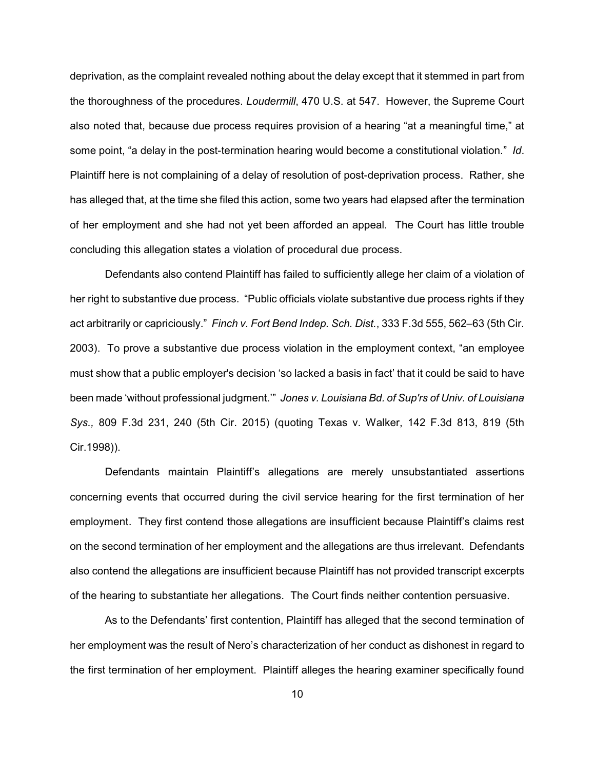deprivation, as the complaint revealed nothing about the delay except that it stemmed in part from the thoroughness of the procedures. *Loudermill*, 470 U.S. at 547. However, the Supreme Court also noted that, because due process requires provision of a hearing "at a meaningful time," at some point, "a delay in the post-termination hearing would become a constitutional violation." *Id*. Plaintiff here is not complaining of a delay of resolution of post-deprivation process. Rather, she has alleged that, at the time she filed this action, some two years had elapsed after the termination of her employment and she had not yet been afforded an appeal. The Court has little trouble concluding this allegation states a violation of procedural due process.

Defendants also contend Plaintiff has failed to sufficiently allege her claim of a violation of her right to substantive due process. "Public officials violate substantive due process rights if they act arbitrarily or capriciously." *Finch v. Fort Bend Indep. Sch. Dist.*, 333 F.3d 555, 562–63 (5th Cir. 2003). To prove a substantive due process violation in the employment context, "an employee must show that a public employer's decision 'so lacked a basis in fact' that it could be said to have been made 'without professional judgment.'" *Jones v. Louisiana Bd. of Sup'rs of Univ. of Louisiana Sys.,* 809 F.3d 231, 240 (5th Cir. 2015) (quoting Texas v. Walker, 142 F.3d 813, 819 (5th Cir.1998)).

Defendants maintain Plaintiff's allegations are merely unsubstantiated assertions concerning events that occurred during the civil service hearing for the first termination of her employment. They first contend those allegations are insufficient because Plaintiff's claims rest on the second termination of her employment and the allegations are thus irrelevant. Defendants also contend the allegations are insufficient because Plaintiff has not provided transcript excerpts of the hearing to substantiate her allegations. The Court finds neither contention persuasive.

As to the Defendants' first contention, Plaintiff has alleged that the second termination of her employment was the result of Nero's characterization of her conduct as dishonest in regard to the first termination of her employment. Plaintiff alleges the hearing examiner specifically found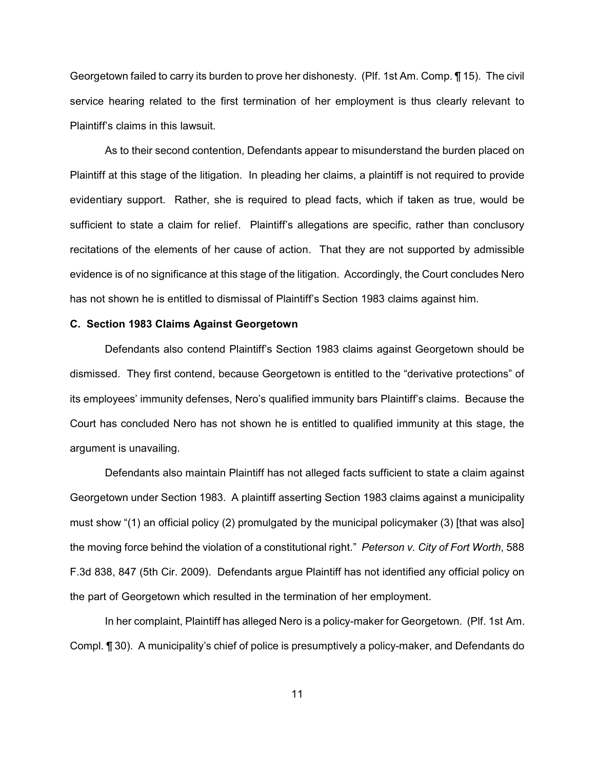Georgetown failed to carry its burden to prove her dishonesty. (Plf. 1st Am. Comp. ¶ 15). The civil service hearing related to the first termination of her employment is thus clearly relevant to Plaintiff's claims in this lawsuit.

As to their second contention, Defendants appear to misunderstand the burden placed on Plaintiff at this stage of the litigation. In pleading her claims, a plaintiff is not required to provide evidentiary support. Rather, she is required to plead facts, which if taken as true, would be sufficient to state a claim for relief. Plaintiff's allegations are specific, rather than conclusory recitations of the elements of her cause of action. That they are not supported by admissible evidence is of no significance at this stage of the litigation. Accordingly, the Court concludes Nero has not shown he is entitled to dismissal of Plaintiff's Section 1983 claims against him.

#### **C. Section 1983 Claims Against Georgetown**

Defendants also contend Plaintiff's Section 1983 claims against Georgetown should be dismissed. They first contend, because Georgetown is entitled to the "derivative protections" of its employees' immunity defenses, Nero's qualified immunity bars Plaintiff's claims. Because the Court has concluded Nero has not shown he is entitled to qualified immunity at this stage, the argument is unavailing.

Defendants also maintain Plaintiff has not alleged facts sufficient to state a claim against Georgetown under Section 1983. A plaintiff asserting Section 1983 claims against a municipality must show "(1) an official policy (2) promulgated by the municipal policymaker (3) [that was also] the moving force behind the violation of a constitutional right." *Peterson v. City of Fort Worth*, 588 F.3d 838, 847 (5th Cir. 2009). Defendants argue Plaintiff has not identified any official policy on the part of Georgetown which resulted in the termination of her employment.

In her complaint, Plaintiff has alleged Nero is a policy-maker for Georgetown. (Plf. 1st Am. Compl. ¶ 30). A municipality's chief of police is presumptively a policy-maker, and Defendants do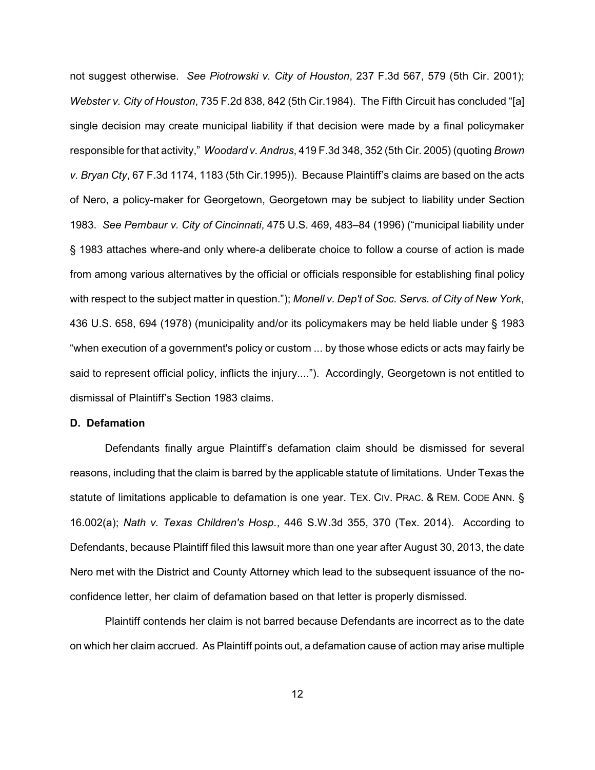not suggest otherwise. *See Piotrowski v. City of Houston*, 237 F.3d 567, 579 (5th Cir. 2001); *Webster v. City of Houston*, 735 F.2d 838, 842 (5th Cir.1984). The Fifth Circuit has concluded "[a] single decision may create municipal liability if that decision were made by a final policymaker responsible for that activity," *Woodard v. Andrus*, 419 F.3d 348, 352 (5th Cir. 2005) (quoting *Brown v. Bryan Cty*, 67 F.3d 1174, 1183 (5th Cir.1995)). Because Plaintiff's claims are based on the acts of Nero, a policy-maker for Georgetown, Georgetown may be subject to liability under Section 1983. *See Pembaur v. City of Cincinnati*, 475 U.S. 469, 483–84 (1996) ("municipal liability under § 1983 attaches where-and only where-a deliberate choice to follow a course of action is made from among various alternatives by the official or officials responsible for establishing final policy with respect to the subject matter in question."); *Monell v. Dep't of Soc. Servs. of City of New York*, 436 U.S. 658, 694 (1978) (municipality and/or its policymakers may be held liable under § 1983 "when execution of a government's policy or custom ... by those whose edicts or acts may fairly be said to represent official policy, inflicts the injury...."). Accordingly, Georgetown is not entitled to dismissal of Plaintiff's Section 1983 claims.

## **D. Defamation**

Defendants finally argue Plaintiff's defamation claim should be dismissed for several reasons, including that the claim is barred by the applicable statute of limitations. Under Texas the statute of limitations applicable to defamation is one year. TEX. CIV. PRAC. & REM. CODE ANN. § 16.002(a); *Nath v. Texas Children's Hosp*., 446 S.W.3d 355, 370 (Tex. 2014). According to Defendants, because Plaintiff filed this lawsuit more than one year after August 30, 2013, the date Nero met with the District and County Attorney which lead to the subsequent issuance of the noconfidence letter, her claim of defamation based on that letter is properly dismissed.

Plaintiff contends her claim is not barred because Defendants are incorrect as to the date on which her claim accrued. As Plaintiff points out, a defamation cause of action may arise multiple